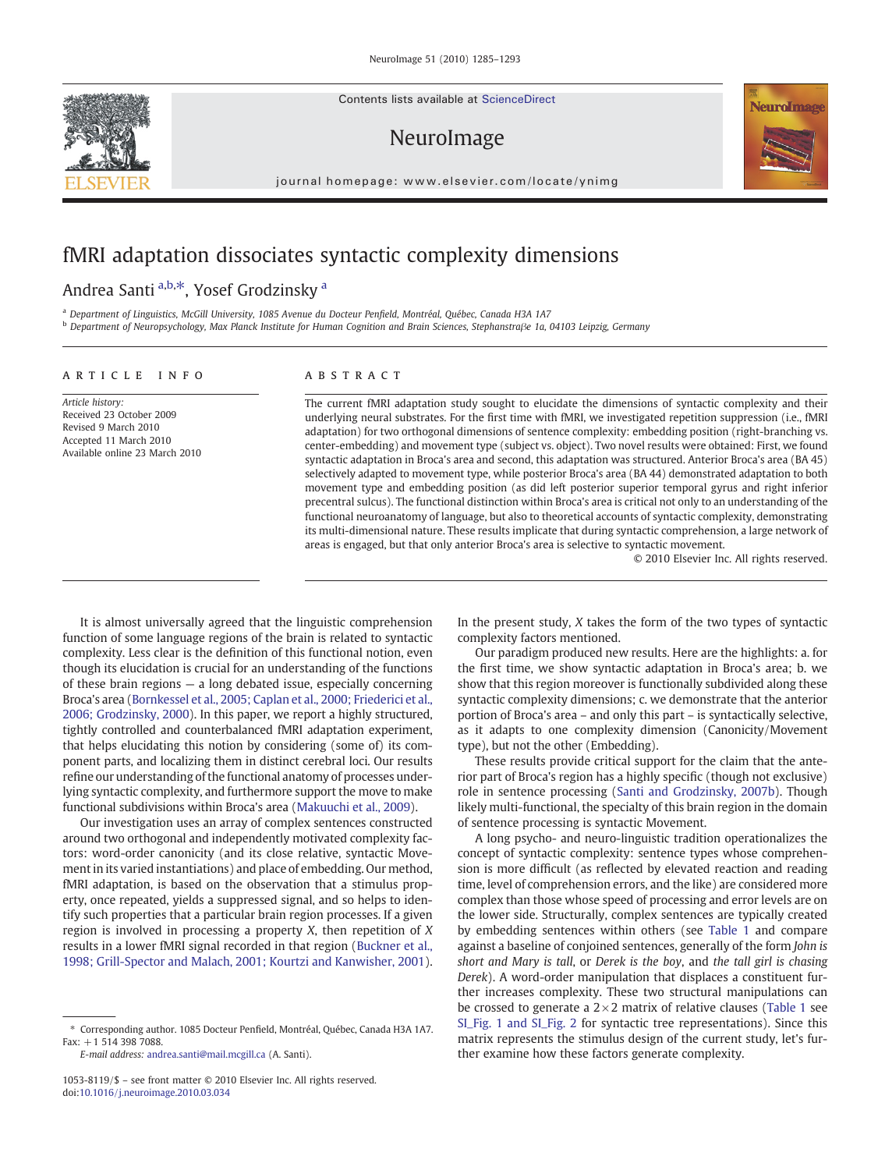Contents lists available at ScienceDirect

# NeuroImage

journal homepage: www.elsevier.com/locate/ynimg

# fMRI adaptation dissociates syntactic complexity dimensions

Andrea Santi <sup>a,b,\*</sup>, Yosef Grodzinsky <sup>a</sup>

<sup>a</sup> Department of Linguistics, McGill University, 1085 Avenue du Docteur Penfield, Montréal, Québec, Canada H3A 1A7

<sup>b</sup> Department of Neuropsychology, Max Planck Institute for Human Cognition and Brain Sciences, Stephanstraβe 1a, 04103 Leipzig, Germany

# article info abstract

Article history: Received 23 October 2009 Revised 9 March 2010 Accepted 11 March 2010 Available online 23 March 2010

The current fMRI adaptation study sought to elucidate the dimensions of syntactic complexity and their underlying neural substrates. For the first time with fMRI, we investigated repetition suppression (i.e., fMRI adaptation) for two orthogonal dimensions of sentence complexity: embedding position (right-branching vs. center-embedding) and movement type (subject vs. object). Two novel results were obtained: First, we found syntactic adaptation in Broca's area and second, this adaptation was structured. Anterior Broca's area (BA 45) selectively adapted to movement type, while posterior Broca's area (BA 44) demonstrated adaptation to both movement type and embedding position (as did left posterior superior temporal gyrus and right inferior precentral sulcus). The functional distinction within Broca's area is critical not only to an understanding of the functional neuroanatomy of language, but also to theoretical accounts of syntactic complexity, demonstrating its multi-dimensional nature. These results implicate that during syntactic comprehension, a large network of areas is engaged, but that only anterior Broca's area is selective to syntactic movement.

© 2010 Elsevier Inc. All rights reserved.

It is almost universally agreed that the linguistic comprehension function of some language regions of the brain is related to syntactic complexity. Less clear is the definition of this functional notion, even though its elucidation is crucial for an understanding of the functions of these brain regions — a long debated issue, especially concerning Broca's area ([Bornkessel et al., 2005; Caplan et al., 2000; Friederici et al.,](#page-7-0) [2006; Grodzinsky, 2000](#page-7-0)). In this paper, we report a highly structured, tightly controlled and counterbalanced fMRI adaptation experiment, that helps elucidating this notion by considering (some of) its component parts, and localizing them in distinct cerebral loci. Our results refine our understanding of the functional anatomy of processes underlying syntactic complexity, and furthermore support the move to make functional subdivisions within Broca's area [\(Makuuchi et al., 2009](#page-8-0)).

Our investigation uses an array of complex sentences constructed around two orthogonal and independently motivated complexity factors: word-order canonicity (and its close relative, syntactic Movement in its varied instantiations) and place of embedding. Our method, fMRI adaptation, is based on the observation that a stimulus property, once repeated, yields a suppressed signal, and so helps to identify such properties that a particular brain region processes. If a given region is involved in processing a property X, then repetition of X results in a lower fMRI signal recorded in that region [\(Buckner et al.,](#page-7-0) [1998; Grill-Spector and Malach, 2001; Kourtzi and Kanwisher, 2001](#page-7-0)).

E-mail address: [andrea.santi@mail.mcgill.ca](mailto:andrea.santi@mail.mcgill.ca) (A. Santi).

In the present study, X takes the form of the two types of syntactic complexity factors mentioned.

Our paradigm produced new results. Here are the highlights: a. for the first time, we show syntactic adaptation in Broca's area; b. we show that this region moreover is functionally subdivided along these syntactic complexity dimensions; c. we demonstrate that the anterior portion of Broca's area – and only this part – is syntactically selective, as it adapts to one complexity dimension (Canonicity/Movement type), but not the other (Embedding).

These results provide critical support for the claim that the anterior part of Broca's region has a highly specific (though not exclusive) role in sentence processing ([Santi and Grodzinsky, 2007b\)](#page-8-0). Though likely multi-functional, the specialty of this brain region in the domain of sentence processing is syntactic Movement.

A long psycho- and neuro-linguistic tradition operationalizes the concept of syntactic complexity: sentence types whose comprehension is more difficult (as reflected by elevated reaction and reading time, level of comprehension errors, and the like) are considered more complex than those whose speed of processing and error levels are on the lower side. Structurally, complex sentences are typically created by embedding sentences within others (see [Table 1](#page-1-0) and compare against a baseline of conjoined sentences, generally of the form John is short and Mary is tall, or Derek is the boy, and the tall girl is chasing Derek). A word-order manipulation that displaces a constituent further increases complexity. These two structural manipulations can be crossed to generate a  $2\times 2$  matrix of relative clauses ([Table 1](#page-1-0) see SI\_Fig. 1 and SI\_Fig. 2 for syntactic tree representations). Since this matrix represents the stimulus design of the current study, let's further examine how these factors generate complexity.





<sup>⁎</sup> Corresponding author. 1085 Docteur Penfield, Montréal, Québec, Canada H3A 1A7. Fax: +1 514 398 7088.

<sup>1053-8119/\$</sup> – see front matter © 2010 Elsevier Inc. All rights reserved. doi:[10.1016/j.neuroimage.2010.03.034](http://dx.doi.org/10.1016/j.neuroimage.2010.03.034)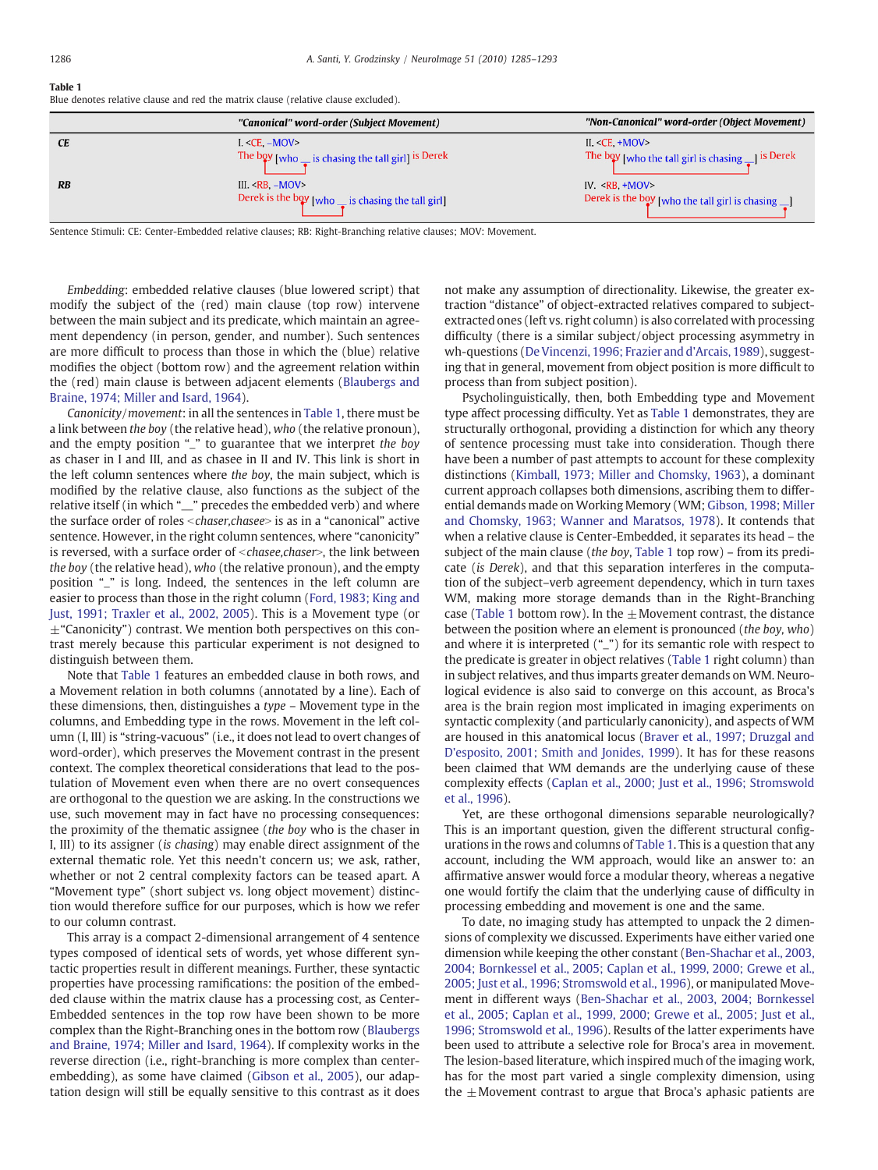#### <span id="page-1-0"></span>Table 1

Blue denotes relative clause and red the matrix clause (relative clause excluded).

|                 | "Canonical" word-order (Subject Movement)                            | "Non-Canonical" word-order (Object Movement)                          |
|-----------------|----------------------------------------------------------------------|-----------------------------------------------------------------------|
| <b>CE</b>       | $I. < CE. -MOV>$                                                     | II. $CE$ , $+MOV$                                                     |
|                 | The boy [who $\frac{1}{\sqrt{2}}$ is chasing the tall girl] is Derek | The boy [who the tall girl is chasing $\bullet$ ] is Derek            |
| $\overline{RB}$ | III. $RB$ . $-MOV$                                                   | IV. $RB + MOV$                                                        |
|                 | Derek is the boy [who $\frac{1}{\sqrt{2}}$ is chasing the tall girl] | Derek is the boy [who the tall girl is chasing $\frac{1}{\sqrt{2}}$ ] |

Sentence Stimuli: CE: Center-Embedded relative clauses; RB: Right-Branching relative clauses; MOV: Movement.

Embedding: embedded relative clauses (blue lowered script) that modify the subject of the (red) main clause (top row) intervene between the main subject and its predicate, which maintain an agreement dependency (in person, gender, and number). Such sentences are more difficult to process than those in which the (blue) relative modifies the object (bottom row) and the agreement relation within the (red) main clause is between adjacent elements ([Blaubergs and](#page-7-0) [Braine, 1974; Miller and Isard, 1964\)](#page-7-0).

Canonicity/movement: in all the sentences in Table 1, there must be a link between the boy (the relative head), who (the relative pronoun), and the empty position "\_" to guarantee that we interpret the boy as chaser in I and III, and as chasee in II and IV. This link is short in the left column sentences where the boy, the main subject, which is modified by the relative clause, also functions as the subject of the relative itself (in which "\_\_" precedes the embedded verb) and where the surface order of roles <chaser,chasee> is as in a "canonical" active sentence. However, in the right column sentences, where "canonicity" is reversed, with a surface order of  $<$ chasee,chaser $>$ , the link between the boy (the relative head), who (the relative pronoun), and the empty position "\_" is long. Indeed, the sentences in the left column are easier to process than those in the right column ([Ford, 1983; King and](#page-7-0) [Just, 1991; Traxler et al., 2002, 2005](#page-7-0)). This is a Movement type (or  $\pm$ "Canonicity") contrast. We mention both perspectives on this contrast merely because this particular experiment is not designed to distinguish between them.

Note that Table 1 features an embedded clause in both rows, and a Movement relation in both columns (annotated by a line). Each of these dimensions, then, distinguishes a type – Movement type in the columns, and Embedding type in the rows. Movement in the left column (I, III) is "string-vacuous" (i.e., it does not lead to overt changes of word-order), which preserves the Movement contrast in the present context. The complex theoretical considerations that lead to the postulation of Movement even when there are no overt consequences are orthogonal to the question we are asking. In the constructions we use, such movement may in fact have no processing consequences: the proximity of the thematic assignee (the boy who is the chaser in I, III) to its assigner (is chasing) may enable direct assignment of the external thematic role. Yet this needn't concern us; we ask, rather, whether or not 2 central complexity factors can be teased apart. A "Movement type" (short subject vs. long object movement) distinction would therefore suffice for our purposes, which is how we refer to our column contrast.

This array is a compact 2-dimensional arrangement of 4 sentence types composed of identical sets of words, yet whose different syntactic properties result in different meanings. Further, these syntactic properties have processing ramifications: the position of the embedded clause within the matrix clause has a processing cost, as Center-Embedded sentences in the top row have been shown to be more complex than the Right-Branching ones in the bottom row [\(Blaubergs](#page-7-0) [and Braine, 1974; Miller and Isard, 1964\)](#page-7-0). If complexity works in the reverse direction (i.e., right-branching is more complex than centerembedding), as some have claimed [\(Gibson et al., 2005](#page-7-0)), our adaptation design will still be equally sensitive to this contrast as it does not make any assumption of directionality. Likewise, the greater extraction "distance" of object-extracted relatives compared to subjectextracted ones (left vs. right column) is also correlated with processing difficulty (there is a similar subject/object processing asymmetry in wh-questions [\(De Vincenzi, 1996; Frazier and d'Arcais, 1989\)](#page-7-0), suggesting that in general, movement from object position is more difficult to process than from subject position).

Psycholinguistically, then, both Embedding type and Movement type affect processing difficulty. Yet as Table 1 demonstrates, they are structurally orthogonal, providing a distinction for which any theory of sentence processing must take into consideration. Though there have been a number of past attempts to account for these complexity distinctions [\(Kimball, 1973; Miller and Chomsky, 1963\)](#page-8-0), a dominant current approach collapses both dimensions, ascribing them to differential demands made on Working Memory (WM; [Gibson, 1998; Miller](#page-7-0) [and Chomsky, 1963; Wanner and Maratsos, 1978](#page-7-0)). It contends that when a relative clause is Center-Embedded, it separates its head – the subject of the main clause (the boy, Table 1 top row) – from its predicate (is Derek), and that this separation interferes in the computation of the subject–verb agreement dependency, which in turn taxes WM, making more storage demands than in the Right-Branching case (Table 1 bottom row). In the  $\pm$  Movement contrast, the distance between the position where an element is pronounced (the boy, who) and where it is interpreted ("\_") for its semantic role with respect to the predicate is greater in object relatives (Table 1 right column) than in subject relatives, and thus imparts greater demands on WM. Neurological evidence is also said to converge on this account, as Broca's area is the brain region most implicated in imaging experiments on syntactic complexity (and particularly canonicity), and aspects of WM are housed in this anatomical locus [\(Braver et al., 1997; Druzgal and](#page-7-0) [D'esposito, 2001; Smith and Jonides, 1999\)](#page-7-0). It has for these reasons been claimed that WM demands are the underlying cause of these complexity effects [\(Caplan et al., 2000; Just et al., 1996; Stromswold](#page-7-0) [et al., 1996](#page-7-0)).

Yet, are these orthogonal dimensions separable neurologically? This is an important question, given the different structural configurations in the rows and columns of Table 1. This is a question that any account, including the WM approach, would like an answer to: an affirmative answer would force a modular theory, whereas a negative one would fortify the claim that the underlying cause of difficulty in processing embedding and movement is one and the same.

To date, no imaging study has attempted to unpack the 2 dimensions of complexity we discussed. Experiments have either varied one dimension while keeping the other constant [\(Ben-Shachar et al., 2003,](#page-7-0) [2004; Bornkessel et al., 2005; Caplan et al., 1999, 2000; Grewe et al.,](#page-7-0) [2005; Just et al., 1996; Stromswold et al., 1996\)](#page-7-0), or manipulated Movement in different ways [\(Ben-Shachar et al., 2003, 2004; Bornkessel](#page-7-0) [et al., 2005; Caplan et al., 1999, 2000; Grewe et al., 2005; Just et al.,](#page-7-0) [1996; Stromswold et al., 1996](#page-7-0)). Results of the latter experiments have been used to attribute a selective role for Broca's area in movement. The lesion-based literature, which inspired much of the imaging work, has for the most part varied a single complexity dimension, using the  $\pm$ Movement contrast to argue that Broca's aphasic patients are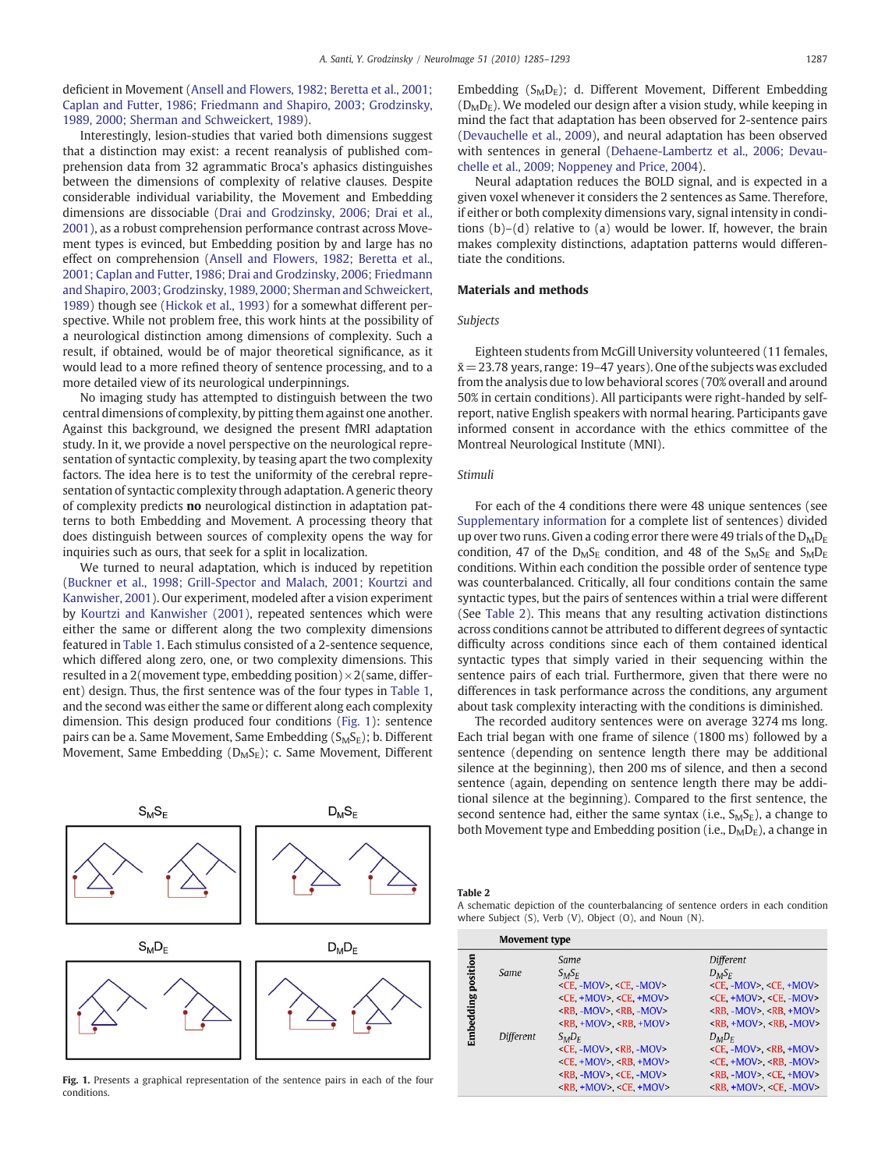<span id="page-2-0"></span>deficient in Movement ([Ansell and Flowers, 1982; Beretta et al., 2001;](#page-7-0) [Caplan and Futter, 1986; Friedmann and Shapiro, 2003; Grodzinsky,](#page-7-0) [1989, 2000; Sherman and Schweickert, 1989\)](#page-7-0).

Interestingly, lesion-studies that varied both dimensions suggest that a distinction may exist: a recent reanalysis of published comprehension data from 32 agrammatic Broca's aphasics distinguishes between the dimensions of complexity of relative clauses. Despite considerable individual variability, the Movement and Embedding dimensions are dissociable ([Drai and Grodzinsky, 2006; Drai et al.,](#page-7-0) [2001\)](#page-7-0), as a robust comprehension performance contrast across Movement types is evinced, but Embedding position by and large has no effect on comprehension [\(Ansell and Flowers, 1982; Beretta et al.,](#page-7-0) [2001; Caplan and Futter, 1986; Drai and Grodzinsky, 2006; Friedmann](#page-7-0) [and Shapiro, 2003; Grodzinsky, 1989, 2000; Sherman and Schweickert,](#page-7-0) [1989\)](#page-7-0) though see [\(Hickok et al., 1993\)](#page-8-0) for a somewhat different perspective. While not problem free, this work hints at the possibility of a neurological distinction among dimensions of complexity. Such a result, if obtained, would be of major theoretical significance, as it would lead to a more refined theory of sentence processing, and to a more detailed view of its neurological underpinnings.

No imaging study has attempted to distinguish between the two central dimensions of complexity, by pitting them against one another. Against this background, we designed the present fMRI adaptation study. In it, we provide a novel perspective on the neurological representation of syntactic complexity, by teasing apart the two complexity factors. The idea here is to test the uniformity of the cerebral representation of syntactic complexity through adaptation. A generic theory of complexity predicts no neurological distinction in adaptation patterns to both Embedding and Movement. A processing theory that does distinguish between sources of complexity opens the way for inquiries such as ours, that seek for a split in localization.

We turned to neural adaptation, which is induced by repetition [\(Buckner et al., 1998; Grill-Spector and Malach, 2001; Kourtzi and](#page-7-0) [Kanwisher, 2001\)](#page-7-0). Our experiment, modeled after a vision experiment by [Kourtzi and Kanwisher \(2001\),](#page-8-0) repeated sentences which were either the same or different along the two complexity dimensions featured in [Table 1.](#page-1-0) Each stimulus consisted of a 2-sentence sequence, which differed along zero, one, or two complexity dimensions. This resulted in a 2(movement type, embedding position)  $\times$  2(same, different) design. Thus, the first sentence was of the four types in [Table 1,](#page-1-0) and the second was either the same or different along each complexity dimension. This design produced four conditions (Fig. 1): sentence pairs can be a. Same Movement, Same Embedding  $(S_MS_E)$ ; b. Different Movement, Same Embedding (D<sub>M</sub>S<sub>E</sub>); c. Same Movement, Different



Fig. 1. Presents a graphical representation of the sentence pairs in each of the four conditions.

Embedding  $(S_M D_E)$ ; d. Different Movement, Different Embedding  $(D<sub>M</sub>D<sub>F</sub>)$ . We modeled our design after a vision study, while keeping in mind the fact that adaptation has been observed for 2-sentence pairs [\(Devauchelle et al., 2009\)](#page-7-0), and neural adaptation has been observed with sentences in general ([Dehaene-Lambertz et al., 2006; Devau](#page-7-0)[chelle et al., 2009; Noppeney and Price, 2004\)](#page-7-0).

Neural adaptation reduces the BOLD signal, and is expected in a given voxel whenever it considers the 2 sentences as Same. Therefore, if either or both complexity dimensions vary, signal intensity in conditions (b)–(d) relative to (a) would be lower. If, however, the brain makes complexity distinctions, adaptation patterns would differentiate the conditions.

# Materials and methods

# Subjects

Eighteen students from McGill University volunteered (11 females,  $\bar{x}$  = 23.78 years, range: 19–47 years). One of the subjects was excluded from the analysis due to low behavioral scores (70% overall and around 50% in certain conditions). All participants were right-handed by selfreport, native English speakers with normal hearing. Participants gave informed consent in accordance with the ethics committee of the Montreal Neurological Institute (MNI).

#### Stimuli

For each of the 4 conditions there were 48 unique sentences (see Supplementary information for a complete list of sentences) divided up over two runs. Given a coding error there were 49 trials of the  $D_MD_E$ condition, 47 of the  $D_MS_E$  condition, and 48 of the  $S_MS_E$  and  $S_MD_E$ conditions. Within each condition the possible order of sentence type was counterbalanced. Critically, all four conditions contain the same syntactic types, but the pairs of sentences within a trial were different (See Table 2). This means that any resulting activation distinctions across conditions cannot be attributed to different degrees of syntactic difficulty across conditions since each of them contained identical syntactic types that simply varied in their sequencing within the sentence pairs of each trial. Furthermore, given that there were no differences in task performance across the conditions, any argument about task complexity interacting with the conditions is diminished.

The recorded auditory sentences were on average 3274 ms long. Each trial began with one frame of silence (1800 ms) followed by a sentence (depending on sentence length there may be additional silence at the beginning), then 200 ms of silence, and then a second sentence (again, depending on sentence length there may be additional silence at the beginning). Compared to the first sentence, the second sentence had, either the same syntax (i.e.,  $S_M S_E$ ), a change to both Movement type and Embedding position (i.e.,  $D_M D_E$ ), a change in

Table 2

A schematic depiction of the counterbalancing of sentence orders in each condition where Subject (S), Verb (V), Object (O), and Noun (N).

|                       | <b>Movement type</b> |                                                                                                                                                                                                                                                                                                                                    |                                                                                                                                                                                                                                                                                                                         |  |  |
|-----------------------|----------------------|------------------------------------------------------------------------------------------------------------------------------------------------------------------------------------------------------------------------------------------------------------------------------------------------------------------------------------|-------------------------------------------------------------------------------------------------------------------------------------------------------------------------------------------------------------------------------------------------------------------------------------------------------------------------|--|--|
| position<br>Embedding | Same                 | Same<br>$S_M S_F$<br>$\leq$ CE. -MOV>. $\leq$ CE. -MOV>.<br>$\leq$ CE, +MOV>, $\leq$ CE, +MOV><br>$\langle$ RB, -MOV>, $\langle$ RB, -MOV>                                                                                                                                                                                         | Different<br>$D_M S_F$<br>$\leq$ CE. -MOV>. $\leq$ CE. +MOV><br>$\leq$ CE, +MOV>, $\leq$ CE, -MOV><br>$\langle$ RB, -MOV>, <rb, +mov=""></rb,>                                                                                                                                                                          |  |  |
|                       | Different            | $\langle$ RB, +MOV>, <rb, +mov=""><br/><math>S_{M}D_{F}</math><br/><math>\leq</math>CE -MOV&gt; <math>\leq</math>RB -MOV&gt;<br/><math>\leq</math>CE +MOV&gt;, <math>\leq</math>RB +MOV&gt;<br/><math>\langle</math>RB, -MOV&gt;, <math>\langle</math>CE, -MOV&gt;<br/><math>\langle</math>RB, +MOV&gt;, <ce, +mov=""></ce,></rb,> | $\langle$ RB, +MOV>, <rb, -mov=""><br/><math>D_M D_F</math><br/><math>\leq</math>CE, -MOV&gt;, <math>\leq</math>RB, +MOV&gt;<br/><math>\leq</math>CE, +MOV&gt;, <math>\leq</math>RB, -MOV&gt;<br/><math>\langle</math>RB, -MOV&gt;, <ce, +mov=""><br/><math>\langle</math>RB, +MOV&gt;, <ce. -mov=""></ce.></ce,></rb,> |  |  |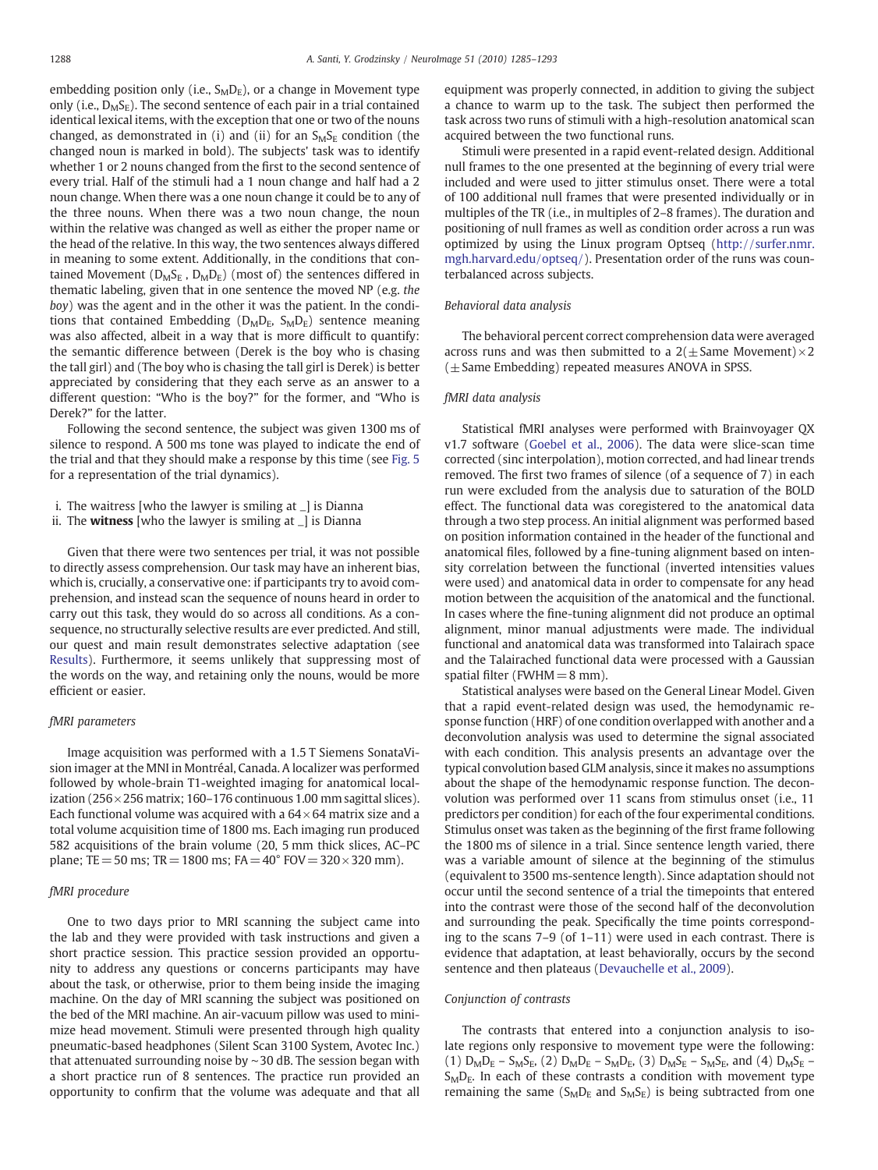embedding position only (i.e.,  $S_{M}D_{E}$ ), or a change in Movement type only (i.e.,  $D_MS_F$ ). The second sentence of each pair in a trial contained identical lexical items, with the exception that one or two of the nouns changed, as demonstrated in (i) and (ii) for an  $S_{M}S_{E}$  condition (the changed noun is marked in bold). The subjects' task was to identify whether 1 or 2 nouns changed from the first to the second sentence of every trial. Half of the stimuli had a 1 noun change and half had a 2 noun change. When there was a one noun change it could be to any of the three nouns. When there was a two noun change, the noun within the relative was changed as well as either the proper name or the head of the relative. In this way, the two sentences always differed in meaning to some extent. Additionally, in the conditions that contained Movement ( $D_MS_E$ ,  $D_MD_E$ ) (most of) the sentences differed in thematic labeling, given that in one sentence the moved NP (e.g. the boy) was the agent and in the other it was the patient. In the conditions that contained Embedding ( $D_M D_E$ ,  $S_M D_E$ ) sentence meaning was also affected, albeit in a way that is more difficult to quantify: the semantic difference between (Derek is the boy who is chasing the tall girl) and (The boy who is chasing the tall girl is Derek) is better appreciated by considering that they each serve as an answer to a different question: "Who is the boy?" for the former, and "Who is Derek?" for the latter.

Following the second sentence, the subject was given 1300 ms of silence to respond. A 500 ms tone was played to indicate the end of the trial and that they should make a response by this time (see [Fig. 5](#page-6-0) for a representation of the trial dynamics).

i. The waitress [who the lawyer is smiling at \_] is Dianna

ii. The **witness** [who the lawyer is smiling at  $\Box$ ] is Dianna

Given that there were two sentences per trial, it was not possible to directly assess comprehension. Our task may have an inherent bias, which is, crucially, a conservative one: if participants try to avoid comprehension, and instead scan the sequence of nouns heard in order to carry out this task, they would do so across all conditions. As a consequence, no structurally selective results are ever predicted. And still, our quest and main result demonstrates selective adaptation (see [Results\)](#page-4-0). Furthermore, it seems unlikely that suppressing most of the words on the way, and retaining only the nouns, would be more efficient or easier.

### fMRI parameters

Image acquisition was performed with a 1.5 T Siemens SonataVision imager at the MNI in Montréal, Canada. A localizer was performed followed by whole-brain T1-weighted imaging for anatomical localization ( $256 \times 256$  matrix; 160–176 continuous 1.00 mm sagittal slices). Each functional volume was acquired with a  $64\times64$  matrix size and a total volume acquisition time of 1800 ms. Each imaging run produced 582 acquisitions of the brain volume (20, 5 mm thick slices, AC–PC plane; TE = 50 ms; TR = 1800 ms; FA =  $40^{\circ}$  FOV =  $320 \times 320$  mm).

#### fMRI procedure

One to two days prior to MRI scanning the subject came into the lab and they were provided with task instructions and given a short practice session. This practice session provided an opportunity to address any questions or concerns participants may have about the task, or otherwise, prior to them being inside the imaging machine. On the day of MRI scanning the subject was positioned on the bed of the MRI machine. An air-vacuum pillow was used to minimize head movement. Stimuli were presented through high quality pneumatic-based headphones (Silent Scan 3100 System, Avotec Inc.) that attenuated surrounding noise by ∼30 dB. The session began with a short practice run of 8 sentences. The practice run provided an opportunity to confirm that the volume was adequate and that all equipment was properly connected, in addition to giving the subject a chance to warm up to the task. The subject then performed the task across two runs of stimuli with a high-resolution anatomical scan acquired between the two functional runs.

Stimuli were presented in a rapid event-related design. Additional null frames to the one presented at the beginning of every trial were included and were used to jitter stimulus onset. There were a total of 100 additional null frames that were presented individually or in multiples of the TR (i.e., in multiples of 2–8 frames). The duration and positioning of null frames as well as condition order across a run was optimized by using the Linux program Optseq [\(http://surfer.nmr.](http://surfer.nmr.mgh.harvard.edu/optseq/) [mgh.harvard.edu/optseq/](http://surfer.nmr.mgh.harvard.edu/optseq/)). Presentation order of the runs was counterbalanced across subjects.

# Behavioral data analysis

The behavioral percent correct comprehension data were averaged across runs and was then submitted to a  $2(\pm)$  Same Movement)  $\times$  2  $(\pm)$  Same Embedding) repeated measures ANOVA in SPSS.

#### fMRI data analysis

Statistical fMRI analyses were performed with Brainvoyager QX v1.7 software [\(Goebel et al., 2006](#page-7-0)). The data were slice-scan time corrected (sinc interpolation), motion corrected, and had linear trends removed. The first two frames of silence (of a sequence of 7) in each run were excluded from the analysis due to saturation of the BOLD effect. The functional data was coregistered to the anatomical data through a two step process. An initial alignment was performed based on position information contained in the header of the functional and anatomical files, followed by a fine-tuning alignment based on intensity correlation between the functional (inverted intensities values were used) and anatomical data in order to compensate for any head motion between the acquisition of the anatomical and the functional. In cases where the fine-tuning alignment did not produce an optimal alignment, minor manual adjustments were made. The individual functional and anatomical data was transformed into Talairach space and the Talairached functional data were processed with a Gaussian spatial filter (FWHM $= 8$  mm).

Statistical analyses were based on the General Linear Model. Given that a rapid event-related design was used, the hemodynamic response function (HRF) of one condition overlapped with another and a deconvolution analysis was used to determine the signal associated with each condition. This analysis presents an advantage over the typical convolution based GLM analysis, since it makes no assumptions about the shape of the hemodynamic response function. The deconvolution was performed over 11 scans from stimulus onset (i.e., 11 predictors per condition) for each of the four experimental conditions. Stimulus onset was taken as the beginning of the first frame following the 1800 ms of silence in a trial. Since sentence length varied, there was a variable amount of silence at the beginning of the stimulus (equivalent to 3500 ms-sentence length). Since adaptation should not occur until the second sentence of a trial the timepoints that entered into the contrast were those of the second half of the deconvolution and surrounding the peak. Specifically the time points corresponding to the scans 7–9 (of 1–11) were used in each contrast. There is evidence that adaptation, at least behaviorally, occurs by the second sentence and then plateaus ([Devauchelle et al., 2009\)](#page-7-0).

#### Conjunction of contrasts

The contrasts that entered into a conjunction analysis to isolate regions only responsive to movement type were the following: (1)  $D_M D_E - S_M S_E$ , (2)  $D_M D_E - S_M D_E$ , (3)  $D_M S_E - S_M S_E$ , and (4)  $D_M S_E S<sub>M</sub>D<sub>E</sub>$ . In each of these contrasts a condition with movement type remaining the same ( $S_{M}D_{E}$  and  $S_{M}S_{E}$ ) is being subtracted from one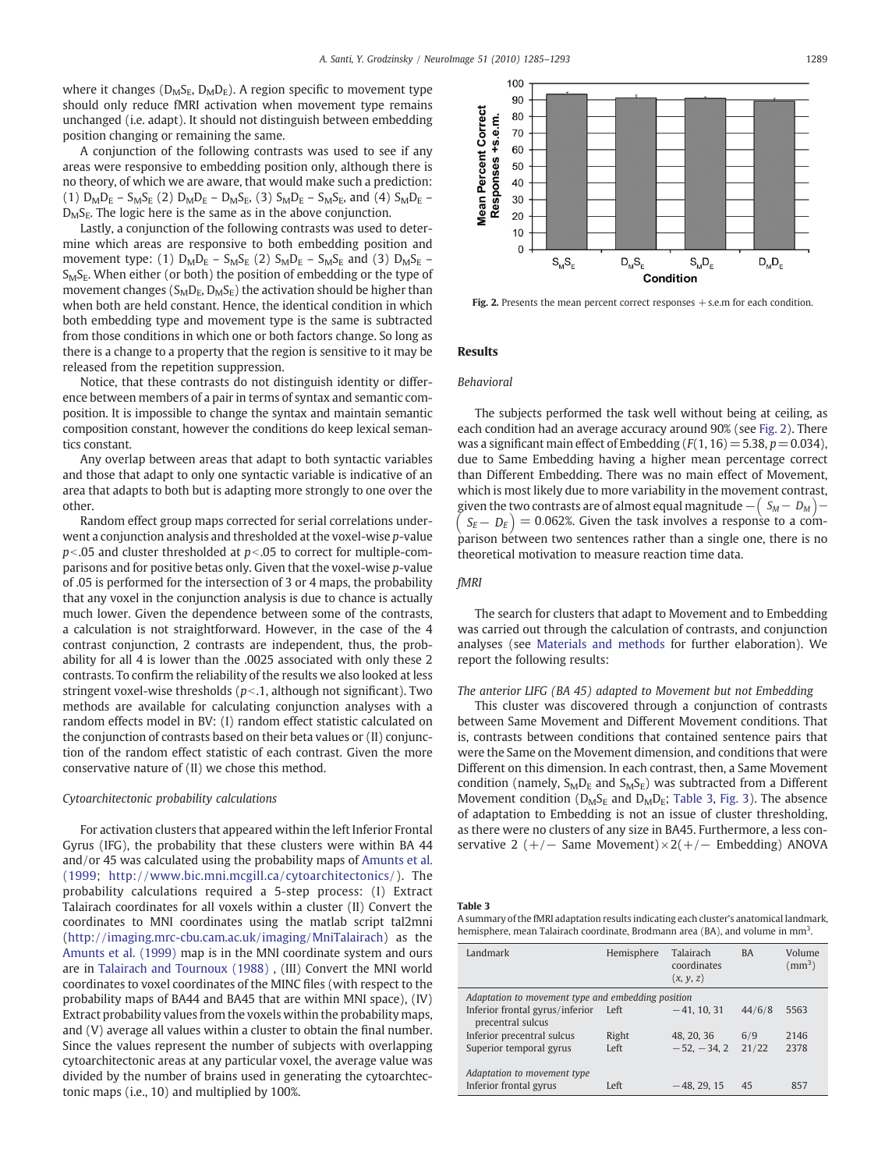<span id="page-4-0"></span>where it changes ( $D_MS_E$ ,  $D_MD_E$ ). A region specific to movement type should only reduce fMRI activation when movement type remains unchanged (i.e. adapt). It should not distinguish between embedding position changing or remaining the same.

A conjunction of the following contrasts was used to see if any areas were responsive to embedding position only, although there is no theory, of which we are aware, that would make such a prediction: (1)  $D_M D_E - S_M S_E$  (2)  $D_M D_E - D_M S_E$ , (3)  $S_M D_E - S_M S_E$ , and (4)  $S_M D_E$  –  $D<sub>M</sub>S<sub>E</sub>$ . The logic here is the same as in the above conjunction.

Lastly, a conjunction of the following contrasts was used to determine which areas are responsive to both embedding position and movement type: (1)  $D_M D_E - S_M S_E$  (2)  $S_M D_E - S_M S_E$  and (3)  $D_M S_E$  – S<sub>M</sub>S<sub>E</sub>. When either (or both) the position of embedding or the type of movement changes ( $S_M D_E$ ,  $D_M S_E$ ) the activation should be higher than when both are held constant. Hence, the identical condition in which both embedding type and movement type is the same is subtracted from those conditions in which one or both factors change. So long as there is a change to a property that the region is sensitive to it may be released from the repetition suppression.

Notice, that these contrasts do not distinguish identity or difference between members of a pair in terms of syntax and semantic composition. It is impossible to change the syntax and maintain semantic composition constant, however the conditions do keep lexical semantics constant.

Any overlap between areas that adapt to both syntactic variables and those that adapt to only one syntactic variable is indicative of an area that adapts to both but is adapting more strongly to one over the other.

Random effect group maps corrected for serial correlations underwent a conjunction analysis and thresholded at the voxel-wise p-value  $p<$ .05 and cluster thresholded at  $p<$ .05 to correct for multiple-comparisons and for positive betas only. Given that the voxel-wise p-value of .05 is performed for the intersection of 3 or 4 maps, the probability that any voxel in the conjunction analysis is due to chance is actually much lower. Given the dependence between some of the contrasts, a calculation is not straightforward. However, in the case of the 4 contrast conjunction, 2 contrasts are independent, thus, the probability for all 4 is lower than the .0025 associated with only these 2 contrasts. To confirm the reliability of the results we also looked at less stringent voxel-wise thresholds ( $p<1$ , although not significant). Two methods are available for calculating conjunction analyses with a random effects model in BV: (I) random effect statistic calculated on the conjunction of contrasts based on their beta values or (II) conjunction of the random effect statistic of each contrast. Given the more conservative nature of (II) we chose this method.

#### Cytoarchitectonic probability calculations

For activation clusters that appeared within the left Inferior Frontal Gyrus (IFG), the probability that these clusters were within BA 44 and/or 45 was calculated using the probability maps of [Amunts et al.](#page-7-0) [\(1999](#page-7-0); [http://www.bic.mni.mcgill.ca/cytoarchitectonics/\)](http://www.bic.mni.mcgill.ca/cytoarchitectonics/). The probability calculations required a 5-step process: (I) Extract Talairach coordinates for all voxels within a cluster (II) Convert the coordinates to MNI coordinates using the matlab script tal2mni [\(http://imaging.mrc-cbu.cam.ac.uk/imaging/MniTalairach](http://imaging.mrc-cbu.cam.ac.uk/imaging/MniTalairach)) as the [Amunts et al. \(1999\)](#page-7-0) map is in the MNI coordinate system and ours are in [Talairach and Tournoux \(1988\)](#page-8-0) , (III) Convert the MNI world coordinates to voxel coordinates of the MINC files (with respect to the probability maps of BA44 and BA45 that are within MNI space), (IV) Extract probability values from the voxels within the probability maps, and (V) average all values within a cluster to obtain the final number. Since the values represent the number of subjects with overlapping cytoarchitectonic areas at any particular voxel, the average value was divided by the number of brains used in generating the cytoarchtectonic maps (i.e., 10) and multiplied by 100%.



Fig. 2. Presents the mean percent correct responses  $+$  s.e.m for each condition.

### Results

# Behavioral

The subjects performed the task well without being at ceiling, as each condition had an average accuracy around 90% (see Fig. 2). There was a significant main effect of Embedding ( $F(1, 16) = 5.38$ ,  $p = 0.034$ ), due to Same Embedding having a higher mean percentage correct than Different Embedding. There was no main effect of Movement, which is most likely due to more variability in the movement contrast, given the two contrasts are of almost equal magnitude  $-\big(\begin{array}{cc} S_M-D_M \end{array}\big) \left( S_E - D_E \right) = 0.062\%$ . Given the task involves a response to a comparison between two sentences rather than a single one, there is no theoretical motivation to measure reaction time data.

# fMRI

The search for clusters that adapt to Movement and to Embedding was carried out through the calculation of contrasts, and conjunction analyses (see [Materials and methods](#page-2-0) for further elaboration). We report the following results:

#### The anterior LIFG (BA 45) adapted to Movement but not Embedding

This cluster was discovered through a conjunction of contrasts between Same Movement and Different Movement conditions. That is, contrasts between conditions that contained sentence pairs that were the Same on the Movement dimension, and conditions that were Different on this dimension. In each contrast, then, a Same Movement condition (namely,  $S_{M}D_{E}$  and  $S_{M}S_{E}$ ) was subtracted from a Different Movement condition ( $D_MS_E$  and  $D_MD_E$ ; Table 3, [Fig. 3](#page-5-0)). The absence of adaptation to Embedding is not an issue of cluster thresholding, as there were no clusters of any size in BA45. Furthermore, a less conservative 2 (+/ $-$  Same Movement) × 2(+/ $-$  Embedding) ANOVA

Table 3

A summary of the fMRI adaptation results indicating each cluster's anatomical landmark, hemisphere, mean Talairach coordinate, Brodmann area (BA), and volume in mm<sup>3</sup>.

| Landmark                                              | Hemisphere | Talairach<br>coordinates<br>(x, y, z) | <b>BA</b> | Volume<br>$\rm (mm^3)$ |  |  |  |
|-------------------------------------------------------|------------|---------------------------------------|-----------|------------------------|--|--|--|
| Adaptation to movement type and embedding position    |            |                                       |           |                        |  |  |  |
| Inferior frontal gyrus/inferior<br>precentral sulcus  | Left       | $-41, 10, 31$                         | 44/6/8    | 5563                   |  |  |  |
| Inferior precentral sulcus                            | Right      | 48, 20, 36                            | 6/9       | 2146                   |  |  |  |
| Superior temporal gyrus                               | Left       | $-52, -34, 2$                         | 21/22     | 2378                   |  |  |  |
| Adaptation to movement type<br>Inferior frontal gyrus | Left       | $-48, 29, 15$                         | 45        | 857                    |  |  |  |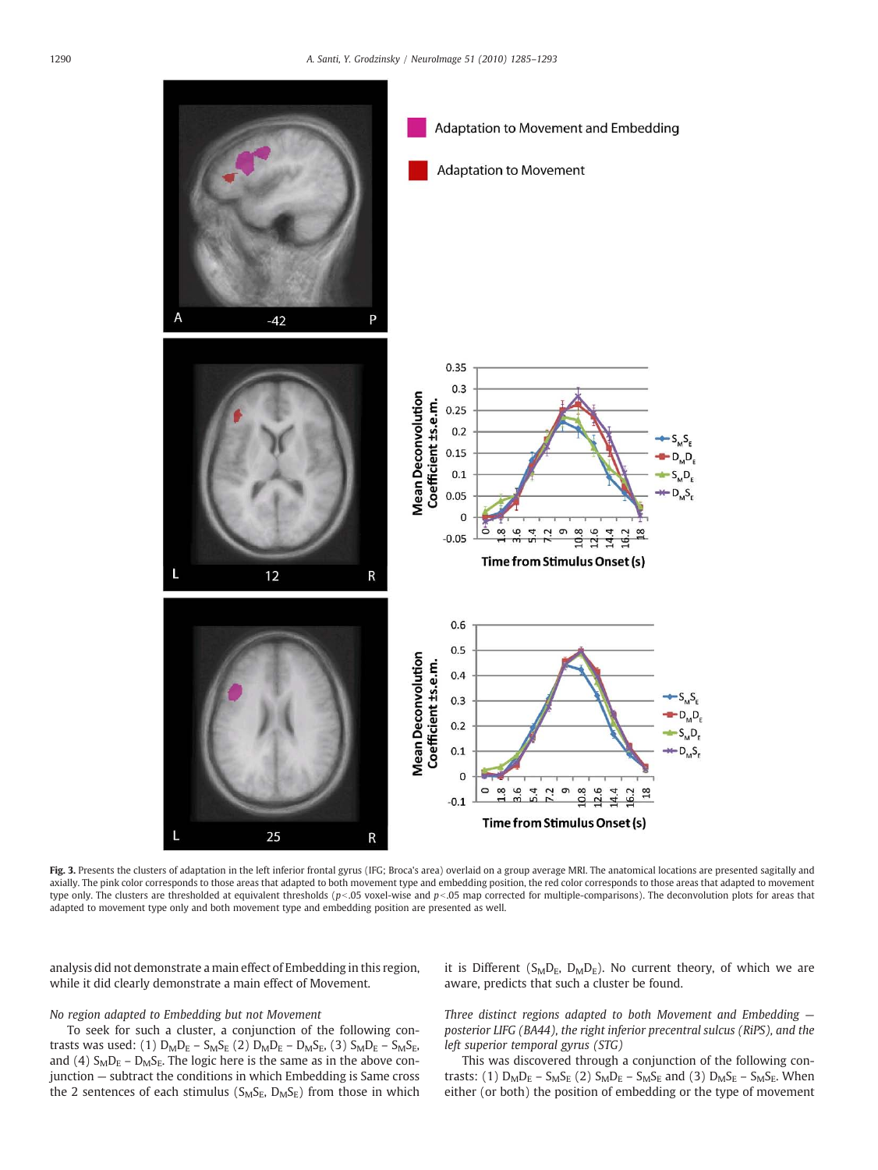<span id="page-5-0"></span>

Fig. 3. Presents the clusters of adaptation in the left inferior frontal gyrus (IFG; Broca's area) overlaid on a group average MRI. The anatomical locations are presented sagitally and axially. The pink color corresponds to those areas that adapted to both movement type and embedding position, the red color corresponds to those areas that adapted to movement type only. The clusters are thresholded at equivalent thresholds ( $p<0.05$  voxel-wise and  $p<0.05$  map corrected for multiple-comparisons). The deconvolution plots for areas that adapted to movement type only and both movement type and embedding position are presented as well.

analysis did not demonstrate a main effect of Embedding in this region, while it did clearly demonstrate a main effect of Movement.

# No region adapted to Embedding but not Movement

To seek for such a cluster, a conjunction of the following contrasts was used: (1)  $D_M D_E - S_M S_E$  (2)  $D_M D_E - D_M S_E$ , (3)  $S_M D_E - S_M S_E$ , and (4)  $S_M D_E - D_M S_E$ . The logic here is the same as in the above conjunction — subtract the conditions in which Embedding is Same cross the 2 sentences of each stimulus ( $S_MS_E$ ,  $D_MS_E$ ) from those in which it is Different ( $S_{M}D_{E}$ ,  $D_{M}D_{E}$ ). No current theory, of which we are aware, predicts that such a cluster be found.

Three distinct regions adapted to both Movement and Embedding  $$ posterior LIFG (BA44), the right inferior precentral sulcus (RiPS), and the left superior temporal gyrus (STG)

This was discovered through a conjunction of the following contrasts: (1)  $D_M D_E - S_M S_E$  (2)  $S_M D_E - S_M S_E$  and (3)  $D_M S_E - S_M S_E$ . When either (or both) the position of embedding or the type of movement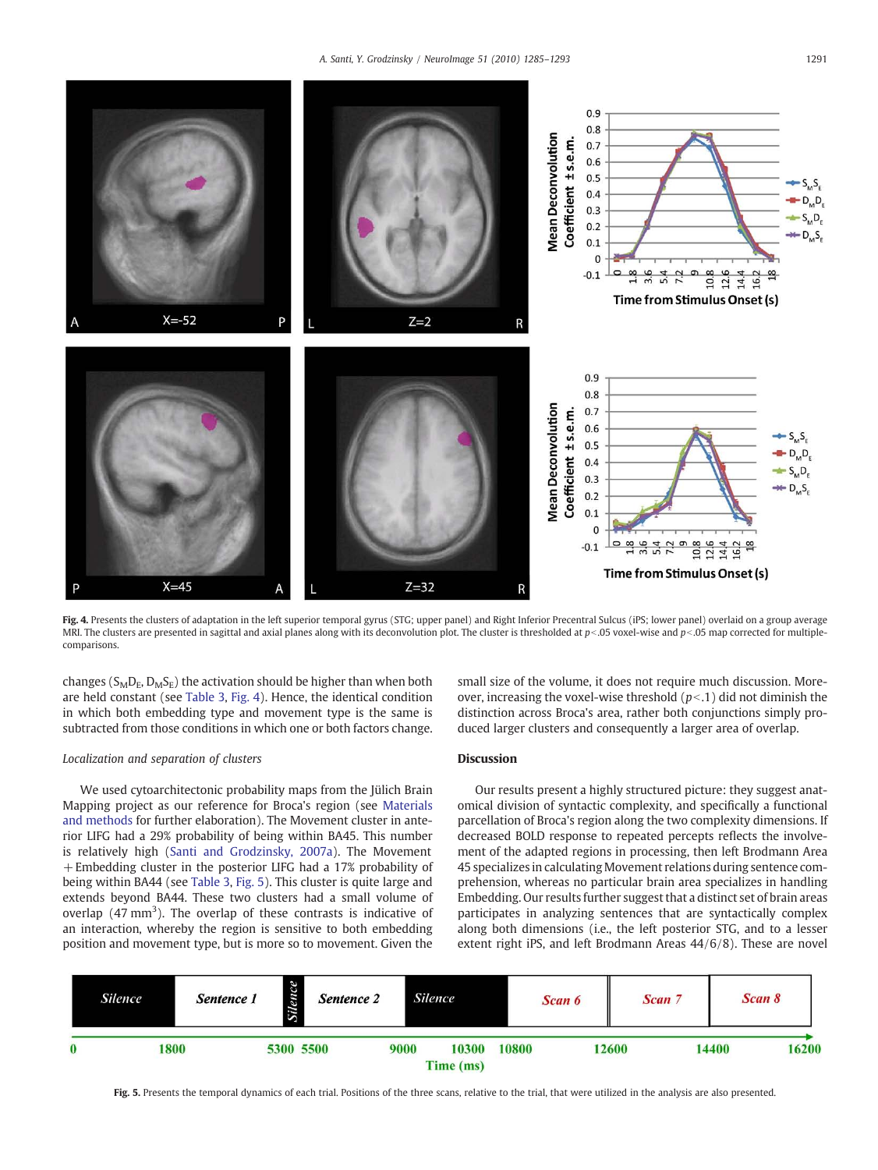<span id="page-6-0"></span>

Fig. 4. Presents the clusters of adaptation in the left superior temporal gyrus (STG; upper panel) and Right Inferior Precentral Sulcus (iPS; lower panel) overlaid on a group average MRI. The clusters are presented in sagittal and axial planes along with its deconvolution plot. The cluster is thresholded at  $p<0$  voxel-wise and  $p<0$  map corrected for multiplecomparisons.

changes ( $S<sub>M</sub>D<sub>E</sub>$ ,  $D<sub>M</sub>S<sub>E</sub>$ ) the activation should be higher than when both are held constant (see [Table 3,](#page-4-0) Fig. 4). Hence, the identical condition in which both embedding type and movement type is the same is subtracted from those conditions in which one or both factors change.

## Localization and separation of clusters

We used cytoarchitectonic probability maps from the Jülich Brain Mapping project as our reference for Broca's region (see [Materials](#page-2-0) [and methods](#page-2-0) for further elaboration). The Movement cluster in anterior LIFG had a 29% probability of being within BA45. This number is relatively high [\(Santi and Grodzinsky, 2007a\)](#page-8-0). The Movement + Embedding cluster in the posterior LIFG had a 17% probability of being within BA44 (see [Table 3](#page-4-0), Fig. 5). This cluster is quite large and extends beyond BA44. These two clusters had a small volume of overlap  $(47 \text{ mm}^3)$ . The overlap of these contrasts is indicative of an interaction, whereby the region is sensitive to both embedding position and movement type, but is more so to movement. Given the

small size of the volume, it does not require much discussion. Moreover, increasing the voxel-wise threshold  $(p<.1)$  did not diminish the distinction across Broca's area, rather both conjunctions simply produced larger clusters and consequently a larger area of overlap.

# Discussion

Our results present a highly structured picture: they suggest anatomical division of syntactic complexity, and specifically a functional parcellation of Broca's region along the two complexity dimensions. If decreased BOLD response to repeated percepts reflects the involvement of the adapted regions in processing, then left Brodmann Area 45 specializes in calculating Movement relations during sentence comprehension, whereas no particular brain area specializes in handling Embedding. Our results further suggest that a distinct set of brain areas participates in analyzing sentences that are syntactically complex along both dimensions (i.e., the left posterior STG, and to a lesser extent right iPS, and left Brodmann Areas 44/6/8). These are novel



Fig. 5. Presents the temporal dynamics of each trial. Positions of the three scans, relative to the trial, that were utilized in the analysis are also presented.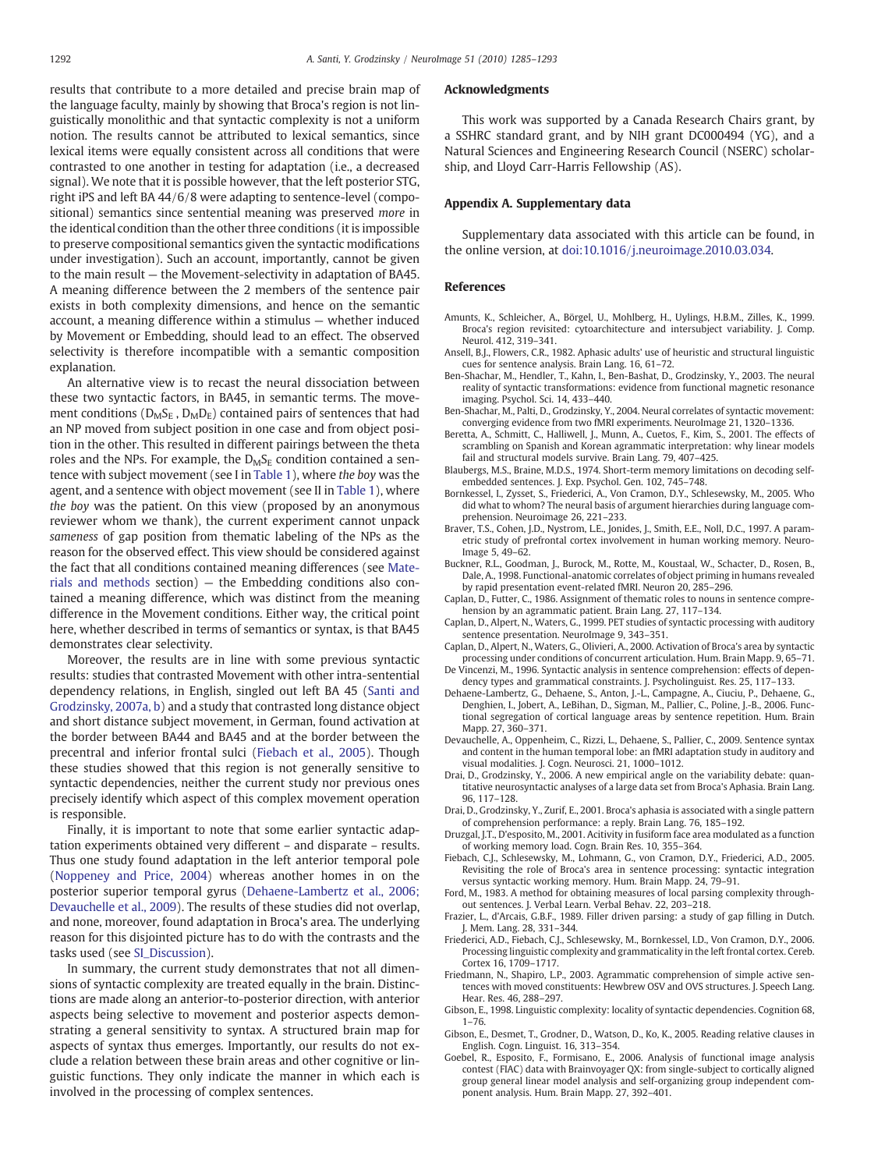<span id="page-7-0"></span>results that contribute to a more detailed and precise brain map of the language faculty, mainly by showing that Broca's region is not linguistically monolithic and that syntactic complexity is not a uniform notion. The results cannot be attributed to lexical semantics, since lexical items were equally consistent across all conditions that were contrasted to one another in testing for adaptation (i.e., a decreased signal). We note that it is possible however, that the left posterior STG, right iPS and left BA 44/6/8 were adapting to sentence-level (compositional) semantics since sentential meaning was preserved more in the identical condition than the other three conditions (it is impossible to preserve compositional semantics given the syntactic modifications under investigation). Such an account, importantly, cannot be given to the main result — the Movement-selectivity in adaptation of BA45. A meaning difference between the 2 members of the sentence pair exists in both complexity dimensions, and hence on the semantic account, a meaning difference within a stimulus — whether induced by Movement or Embedding, should lead to an effect. The observed selectivity is therefore incompatible with a semantic composition explanation.

An alternative view is to recast the neural dissociation between these two syntactic factors, in BA45, in semantic terms. The movement conditions ( $D_MS_E$ ,  $D_MD_E$ ) contained pairs of sentences that had an NP moved from subject position in one case and from object position in the other. This resulted in different pairings between the theta roles and the NPs. For example, the  $D_MS_E$  condition contained a sentence with subject movement (see I in [Table 1\)](#page-1-0), where the boy was the agent, and a sentence with object movement (see II in [Table 1\)](#page-1-0), where the boy was the patient. On this view (proposed by an anonymous reviewer whom we thank), the current experiment cannot unpack sameness of gap position from thematic labeling of the NPs as the reason for the observed effect. This view should be considered against the fact that all conditions contained meaning differences (see [Mate](#page-2-0)[rials and methods](#page-2-0) section) — the Embedding conditions also contained a meaning difference, which was distinct from the meaning difference in the Movement conditions. Either way, the critical point here, whether described in terms of semantics or syntax, is that BA45 demonstrates clear selectivity.

Moreover, the results are in line with some previous syntactic results: studies that contrasted Movement with other intra-sentential dependency relations, in English, singled out left BA 45 ([Santi and](#page-8-0) [Grodzinsky, 2007a, b\)](#page-8-0) and a study that contrasted long distance object and short distance subject movement, in German, found activation at the border between BA44 and BA45 and at the border between the precentral and inferior frontal sulci (Fiebach et al., 2005). Though these studies showed that this region is not generally sensitive to syntactic dependencies, neither the current study nor previous ones precisely identify which aspect of this complex movement operation is responsible.

Finally, it is important to note that some earlier syntactic adaptation experiments obtained very different – and disparate – results. Thus one study found adaptation in the left anterior temporal pole [\(Noppeney and Price, 2004\)](#page-8-0) whereas another homes in on the posterior superior temporal gyrus (Dehaene-Lambertz et al., 2006; Devauchelle et al., 2009). The results of these studies did not overlap, and none, moreover, found adaptation in Broca's area. The underlying reason for this disjointed picture has to do with the contrasts and the tasks used (see SI\_Discussion).

In summary, the current study demonstrates that not all dimensions of syntactic complexity are treated equally in the brain. Distinctions are made along an anterior-to-posterior direction, with anterior aspects being selective to movement and posterior aspects demonstrating a general sensitivity to syntax. A structured brain map for aspects of syntax thus emerges. Importantly, our results do not exclude a relation between these brain areas and other cognitive or linguistic functions. They only indicate the manner in which each is involved in the processing of complex sentences.

# Acknowledgments

This work was supported by a Canada Research Chairs grant, by a SSHRC standard grant, and by NIH grant DC000494 (YG), and a Natural Sciences and Engineering Research Council (NSERC) scholarship, and Lloyd Carr-Harris Fellowship (AS).

# Appendix A. Supplementary data

Supplementary data associated with this article can be found, in the online version, at doi:10.1016/j.neuroimage.2010.03.034.

# References

- Amunts, K., Schleicher, A., Börgel, U., Mohlberg, H., Uylings, H.B.M., Zilles, K., 1999. Broca's region revisited: cytoarchitecture and intersubject variability. J. Comp. Neurol. 412, 319–341.
- Ansell, B.J., Flowers, C.R., 1982. Aphasic adults' use of heuristic and structural linguistic cues for sentence analysis. Brain Lang. 16, 61–72.
- Ben-Shachar, M., Hendler, T., Kahn, I., Ben-Bashat, D., Grodzinsky, Y., 2003. The neural reality of syntactic transformations: evidence from functional magnetic resonance imaging. Psychol. Sci. 14, 433–440.
- Ben-Shachar, M., Palti, D., Grodzinsky, Y., 2004. Neural correlates of syntactic movement: converging evidence from two fMRI experiments. NeuroImage 21, 1320–1336.
- Beretta, A., Schmitt, C., Halliwell, J., Munn, A., Cuetos, F., Kim, S., 2001. The effects of scrambling on Spanish and Korean agrammatic interpretation: why linear models fail and structural models survive. Brain Lang. 79, 407–425.
- Blaubergs, M.S., Braine, M.D.S., 1974. Short-term memory limitations on decoding selfembedded sentences. J. Exp. Psychol. Gen. 102, 745–748.
- Bornkessel, I., Zysset, S., Friederici, A., Von Cramon, D.Y., Schlesewsky, M., 2005. Who did what to whom? The neural basis of argument hierarchies during language comprehension. Neuroimage 26, 221–233.
- Braver, T.S., Cohen, J.D., Nystrom, L.E., Jonides, J., Smith, E.E., Noll, D.C., 1997. A parametric study of prefrontal cortex involvement in human working memory. Neuro-Image 5, 49–62.
- Buckner, R.L., Goodman, J., Burock, M., Rotte, M., Koustaal, W., Schacter, D., Rosen, B., Dale, A., 1998. Functional-anatomic correlates of object priming in humans revealed by rapid presentation event-related fMRI. Neuron 20, 285–296.
- Caplan, D., Futter, C., 1986. Assignment of thematic roles to nouns in sentence comprehension by an agrammatic patient. Brain Lang. 27, 117–134.
- Caplan, D., Alpert, N., Waters, G., 1999. PET studies of syntactic processing with auditory sentence presentation. NeuroImage 9, 343–351.
- Caplan, D., Alpert, N., Waters, G., Olivieri, A., 2000. Activation of Broca's area by syntactic processing under conditions of concurrent articulation. Hum. Brain Mapp. 9, 65–71.
- De Vincenzi, M., 1996. Syntactic analysis in sentence comprehension: effects of dependency types and grammatical constraints. J. Psycholinguist. Res. 25, 117–133.
- Dehaene-Lambertz, G., Dehaene, S., Anton, J.-L., Campagne, A., Ciuciu, P., Dehaene, G., Denghien, I., Jobert, A., LeBihan, D., Sigman, M., Pallier, C., Poline, J.-B., 2006. Functional segregation of cortical language areas by sentence repetition. Hum. Brain Mapp. 27, 360–371.
- Devauchelle, A., Oppenheim, C., Rizzi, L., Dehaene, S., Pallier, C., 2009. Sentence syntax and content in the human temporal lobe: an fMRI adaptation study in auditory and visual modalities. J. Cogn. Neurosci. 21, 1000–1012.
- Drai, D., Grodzinsky, Y., 2006. A new empirical angle on the variability debate: quantitative neurosyntactic analyses of a large data set from Broca's Aphasia. Brain Lang. 96, 117–128.
- Drai, D., Grodzinsky, Y., Zurif, E., 2001. Broca's aphasia is associated with a single pattern of comprehension performance: a reply. Brain Lang. 76, 185–192.
- Druzgal, J.T., D'esposito, M., 2001. Acitivity in fusiform face area modulated as a function of working memory load. Cogn. Brain Res. 10, 355–364.
- Fiebach, C.J., Schlesewsky, M., Lohmann, G., von Cramon, D.Y., Friederici, A.D., 2005. Revisiting the role of Broca's area in sentence processing: syntactic integration versus syntactic working memory. Hum. Brain Mapp. 24, 79–91.
- Ford, M., 1983. A method for obtaining measures of local parsing complexity throughout sentences. J. Verbal Learn. Verbal Behav. 22, 203–218.
- Frazier, L., d'Arcais, G.B.F., 1989. Filler driven parsing: a study of gap filling in Dutch. J. Mem. Lang. 28, 331–344.
- Friederici, A.D., Fiebach, C.J., Schlesewsky, M., Bornkessel, I.D., Von Cramon, D.Y., 2006. Processing linguistic complexity and grammaticality in the left frontal cortex. Cereb. Cortex 16, 1709–1717.
- Friedmann, N., Shapiro, L.P., 2003. Agrammatic comprehension of simple active sentences with moved constituents: Hewbrew OSV and OVS structures. J. Speech Lang. Hear. Res. 46, 288–297.
- Gibson, E., 1998. Linguistic complexity: locality of syntactic dependencies. Cognition 68, 1–76.
- Gibson, E., Desmet, T., Grodner, D., Watson, D., Ko, K., 2005. Reading relative clauses in English. Cogn. Linguist. 16, 313–354.
- Goebel, R., Esposito, F., Formisano, E., 2006. Analysis of functional image analysis contest (FIAC) data with Brainvoyager QX: from single-subject to cortically aligned group general linear model analysis and self-organizing group independent component analysis. Hum. Brain Mapp. 27, 392–401.